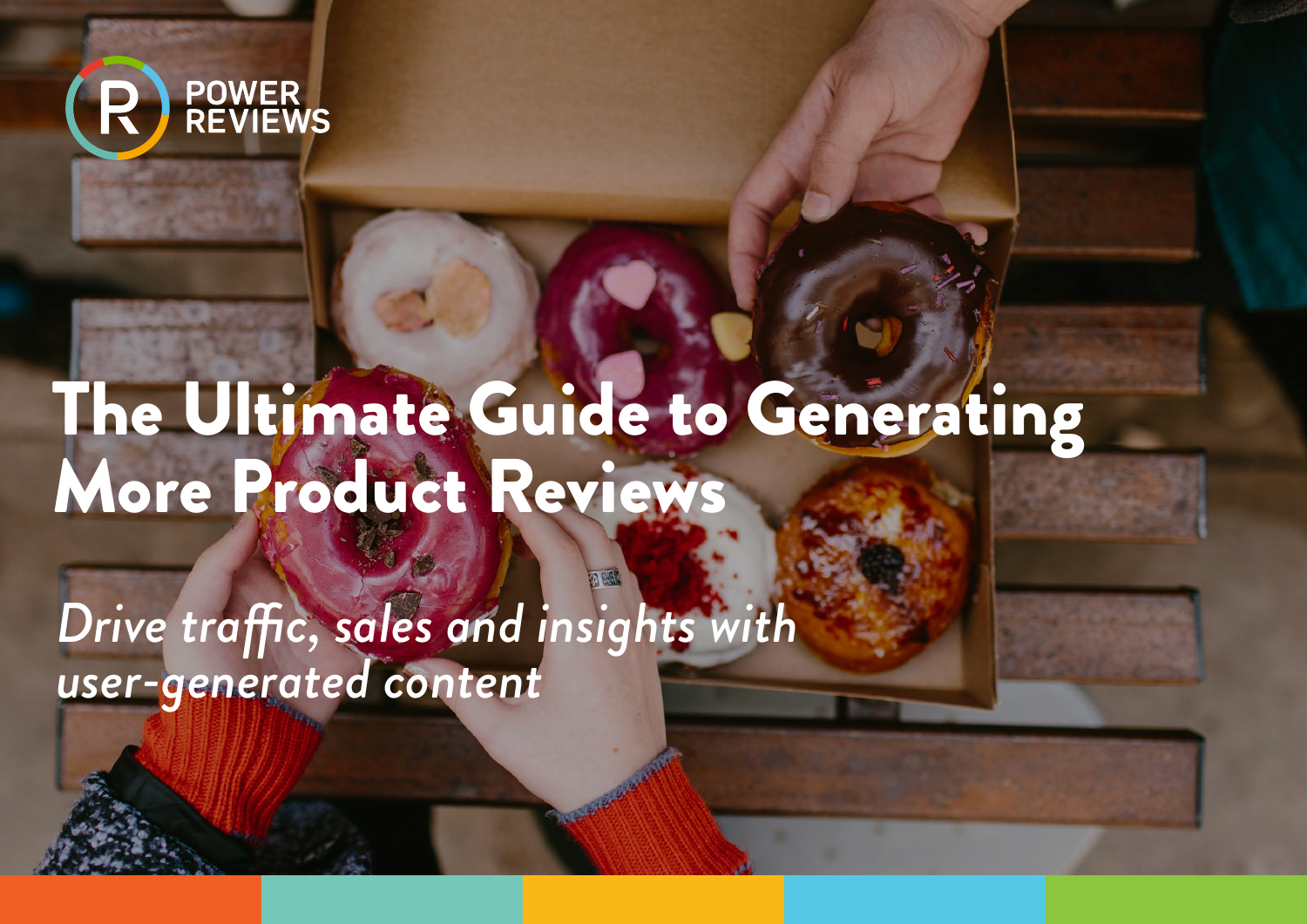

# The Ultimate Guide to Generating More Product Reviews

*Drive traffic, sales and insights with user-generated content*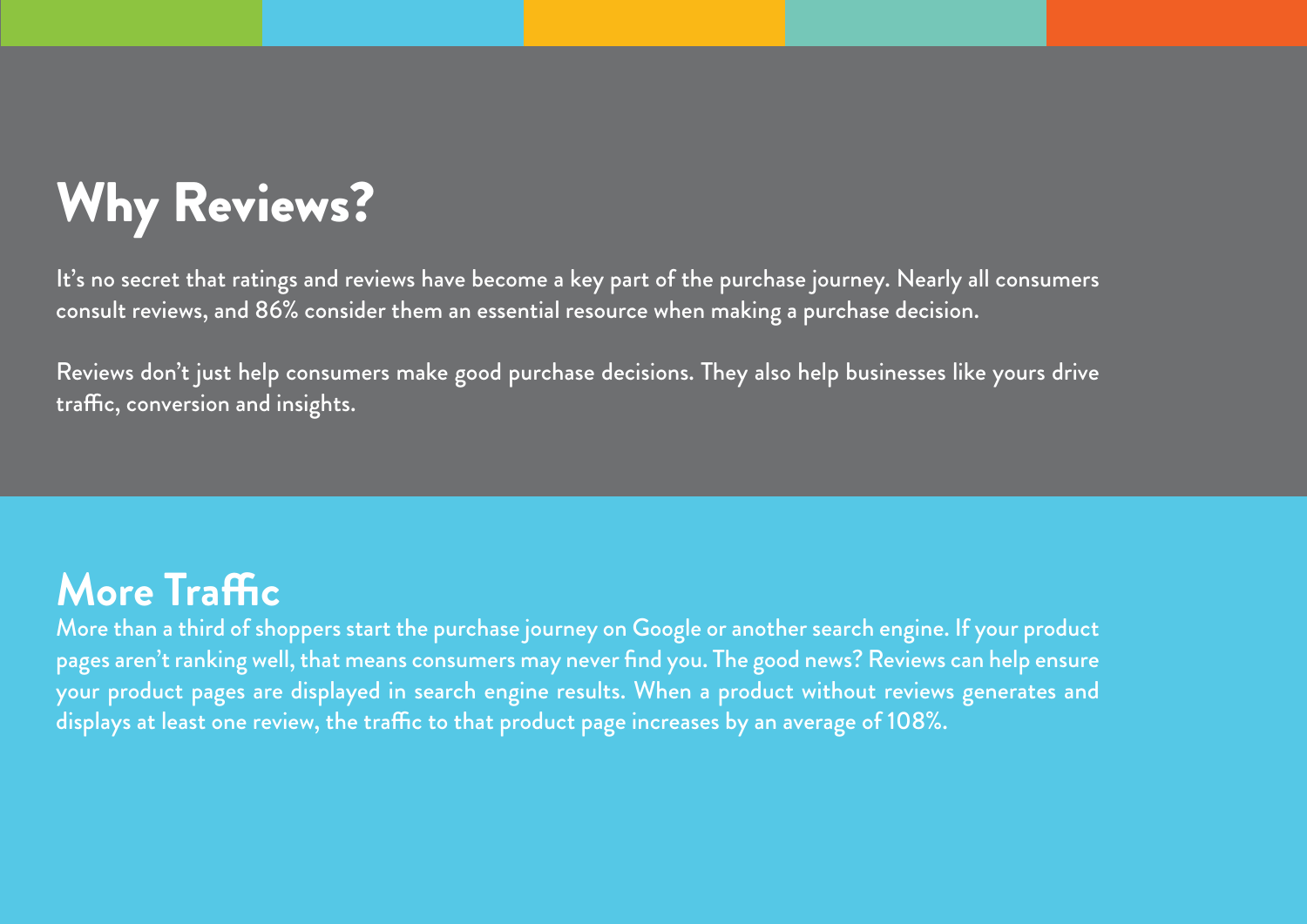## Why Reviews?

It's no secret that ratings and reviews have become a key part of the purchase journey. Nearly all consumers consult reviews, and 86% consider them an essential resource when making a purchase decision.

Reviews don't just help consumers make good purchase decisions. They also help businesses like yours drive traffic, conversion and insights.

#### **More Traffic**

More than a third of shoppers start the purchase journey on Google or another search engine. If your product pages aren't ranking well, that means consumers may never find you. The good news? Reviews can help ensure your product pages are displayed in search engine results. When a product without reviews generates and displays at least one review, the traffic to that product page increases by an average of 108%.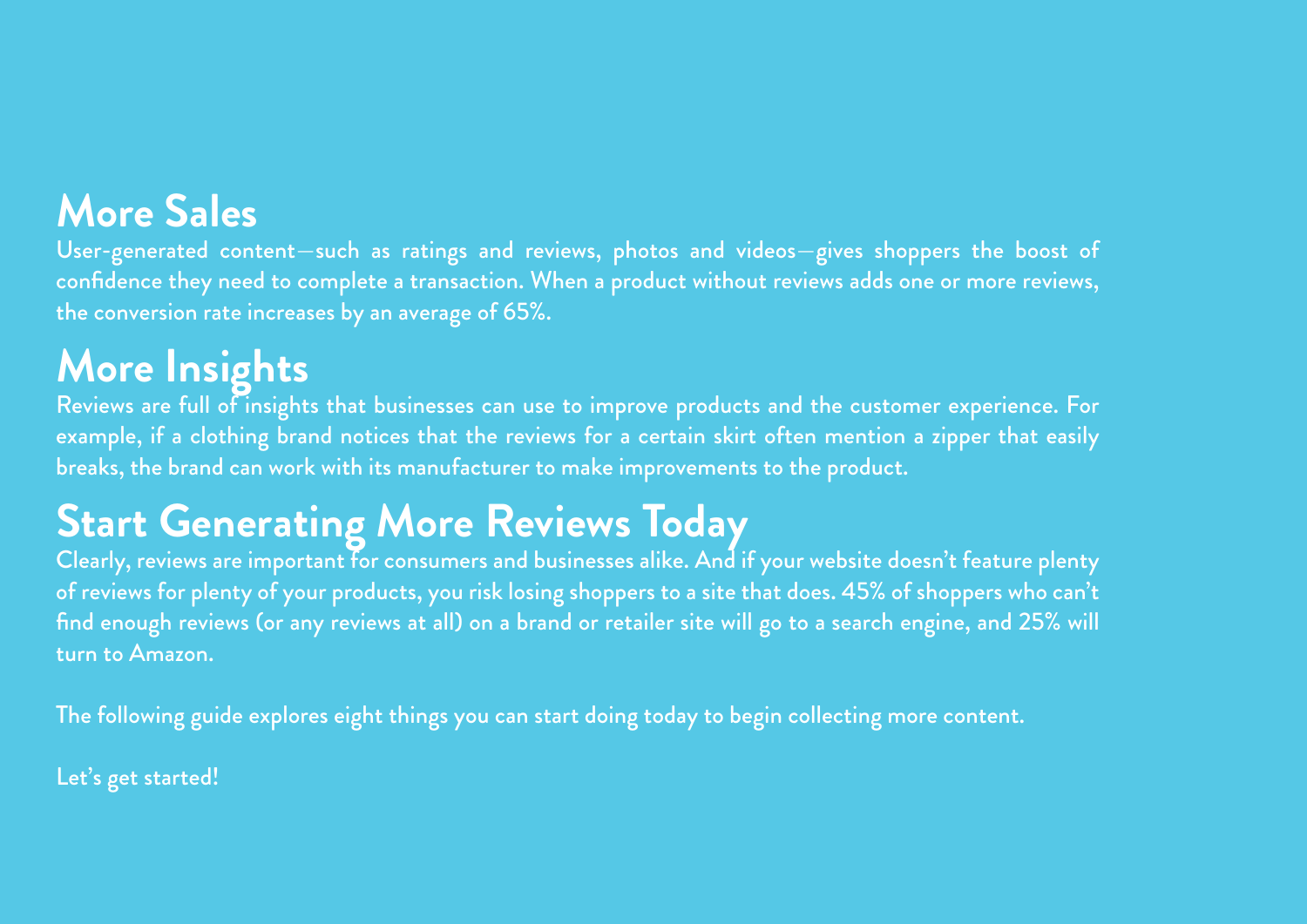#### **More Sales**

User-generated content—such as ratings and reviews, photos and videos—gives shoppers the boost of confidence they need to complete a transaction. When a product without reviews adds one or more reviews, the conversion rate increases by an average of 65%.

#### **More Insights**

Reviews are full of insights that businesses can use to improve products and the customer experience. For example, if a clothing brand notices that the reviews for a certain skirt often mention a zipper that easily breaks, the brand can work with its manufacturer to make improvements to the product.

#### **Start Generating More Reviews Today**

Clearly, reviews are important for consumers and businesses alike. And if your website doesn't feature plenty of reviews for plenty of your products, you risk losing shoppers to a site that does. 45% of shoppers who can't find enough reviews (or any reviews at all) on a brand or retailer site will go to a search engine, and 25% will turn to Amazon.

The following guide explores eight things you can start doing today to begin collecting more content.

Let's get started!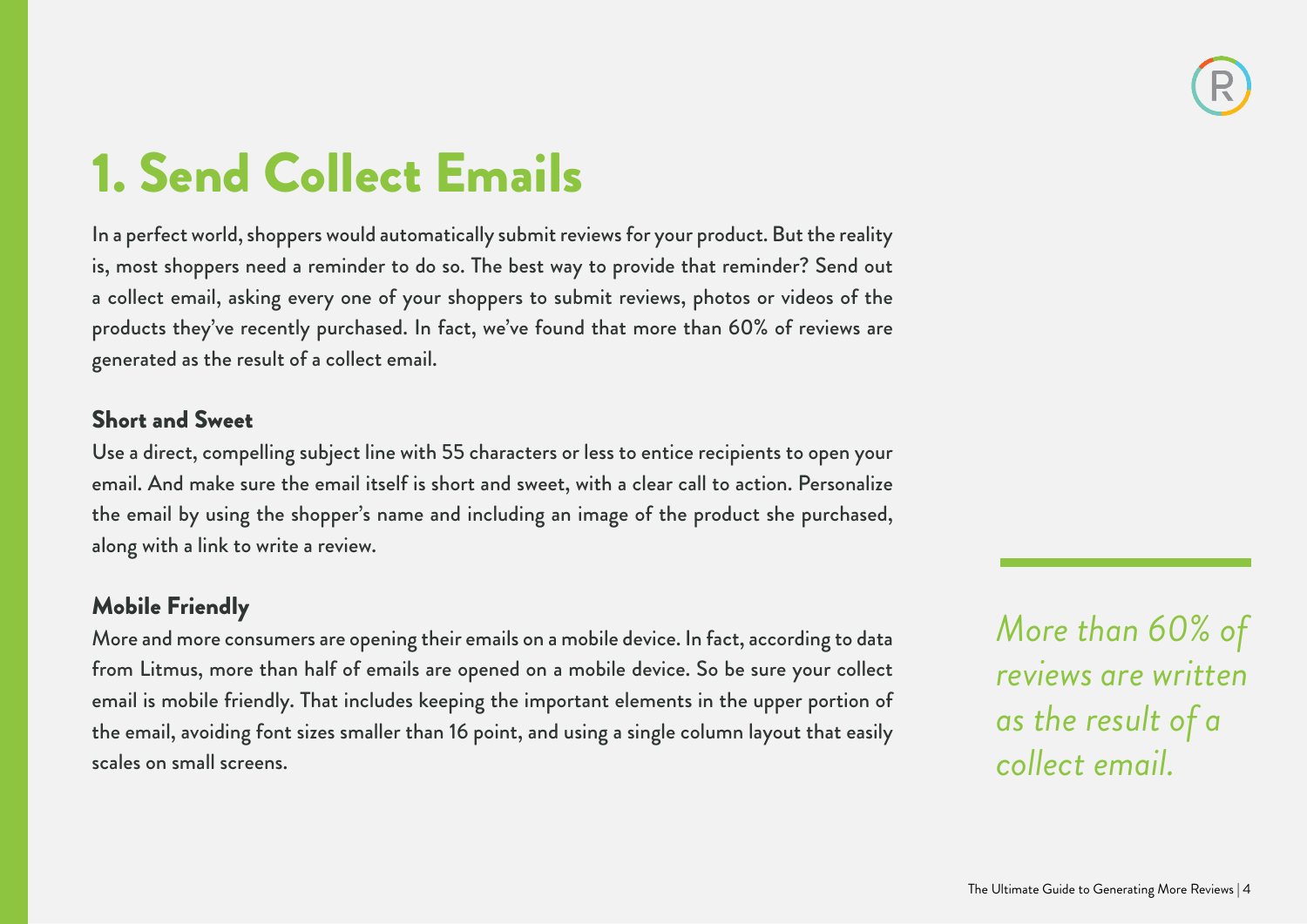### 1. Send Collect Emails

In a perfect world, shoppers would automatically submit reviews for your product. But the reality is, most shoppers need a reminder to do so. The best way to provide that reminder? Send out a collect email, asking every one of your shoppers to submit reviews, photos or videos of the products they've recently purchased. In fact, we've found that more than 60% of reviews are generated as the result of a collect email.

#### Short and Sweet

Use a direct, compelling subject line with 55 characters or less to entice recipients to open your email. And make sure the email itself is short and sweet, with a clear call to action. Personalize the email by using the shopper's name and including an image of the product she purchased, along with a link to write a review.

#### Mobile Friendly

More and more consumers are opening their emails on a mobile device. In fact, according to data from Litmus, more than half of emails are opened on a mobile device. So be sure your collect email is mobile friendly. That includes keeping the important elements in the upper portion of the email, avoiding font sizes smaller than 16 point, and using a single column layout that easily scales on small screens.

*More than 60% of reviews are written as the result of a collect email.*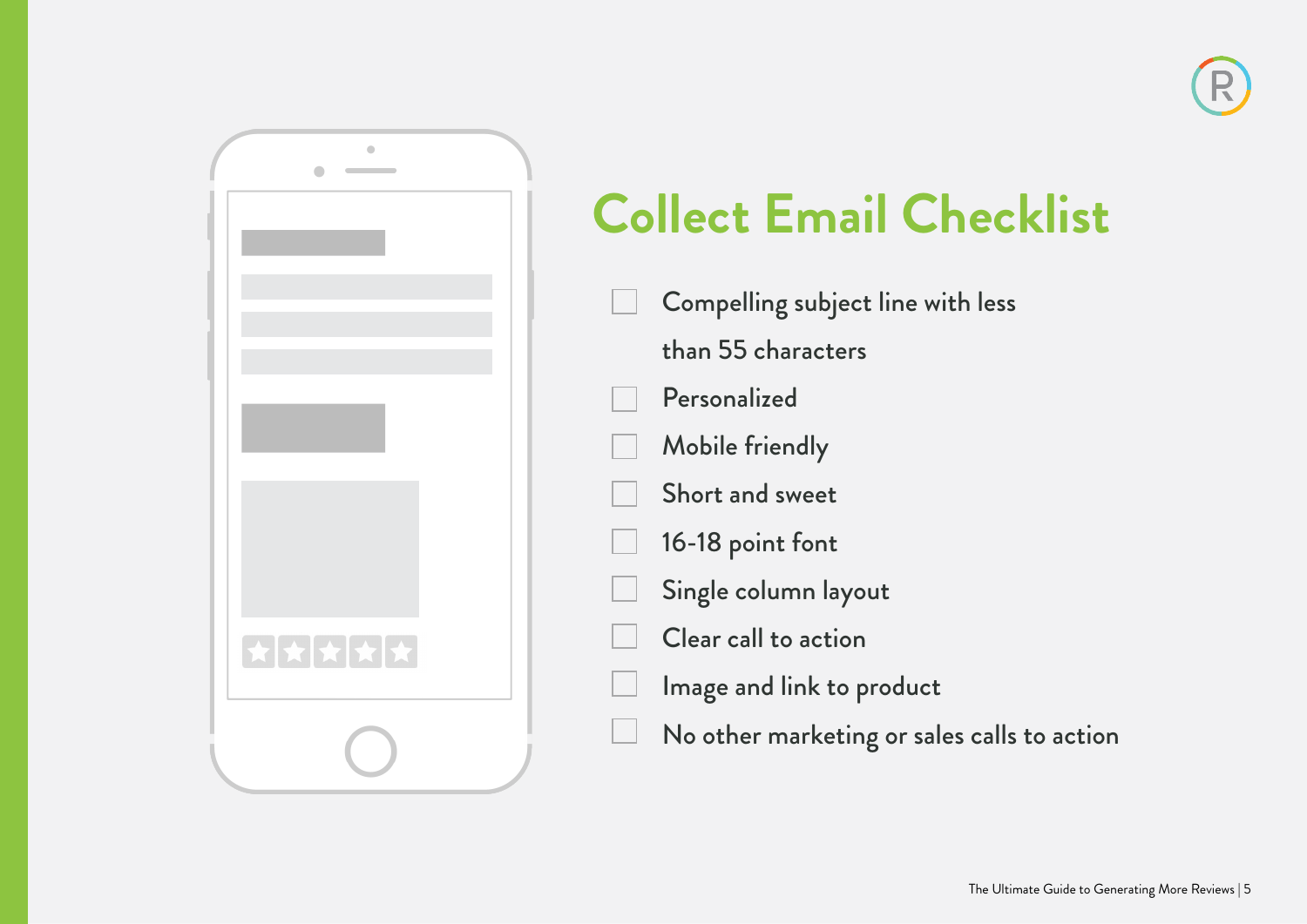

## **Collect Email Checklist**

Compelling subject line with less than 55 characters Personalized Mobile friendly Short and sweet 16-18 point font Single column layout Clear call to action Image and link to product No other marketing or sales calls to action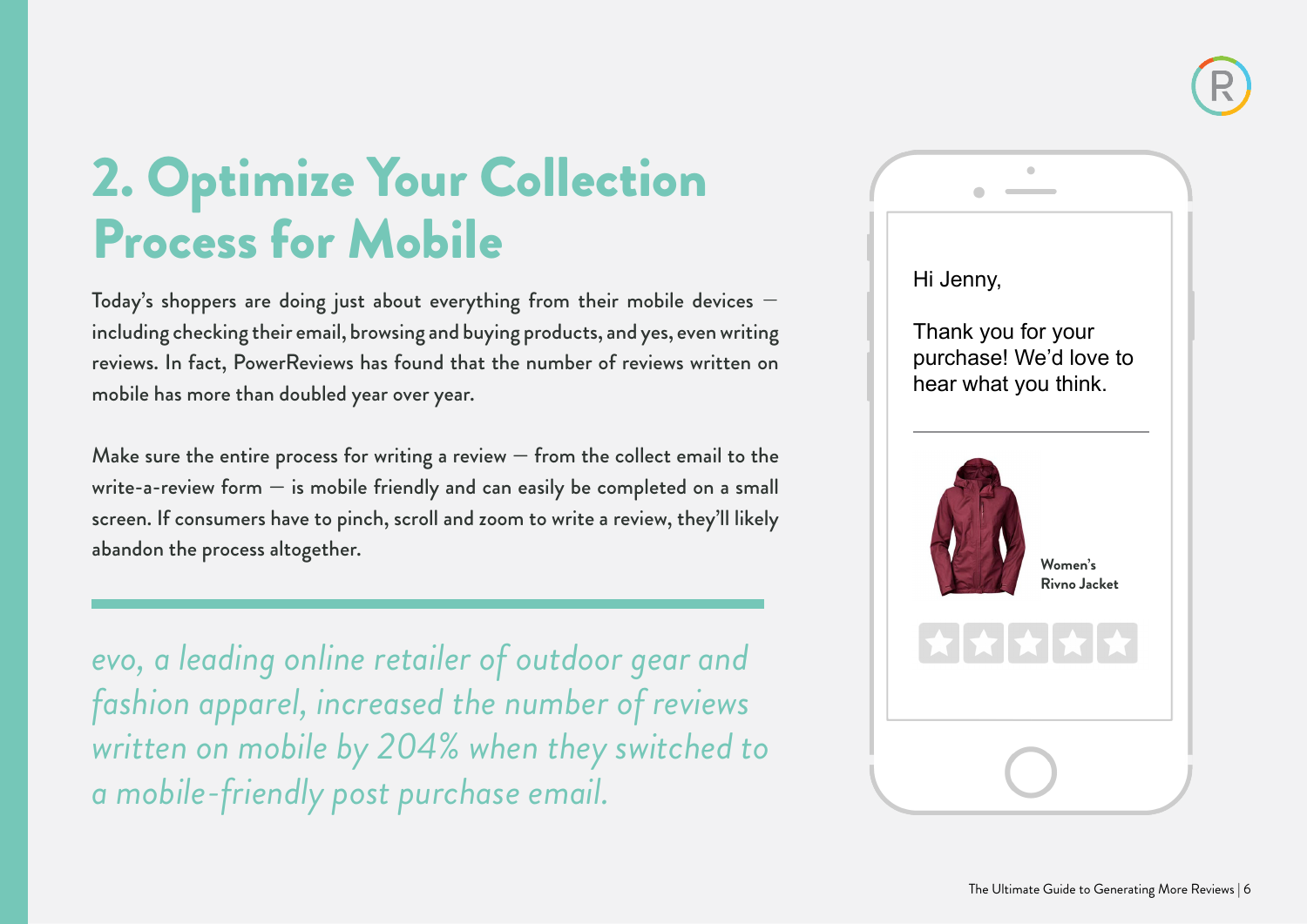

### 2. Optimize Your Collection Process for Mobile

Today's shoppers are doing just about everything from their mobile devices including checking their email, browsing and buying products, and yes, even writing reviews. In fact, PowerReviews has found that the number of reviews written on mobile has more than doubled year over year.

Make sure the entire process for writing a review  $-$  from the collect email to the write-a-review form — is mobile friendly and can easily be completed on a small screen. If consumers have to pinch, scroll and zoom to write a review, they'll likely abandon the process altogether.

*evo, a leading online retailer of outdoor gear and fashion apparel, increased the number of reviews written on mobile by 204% when they switched to a mobile-friendly post purchase email.*

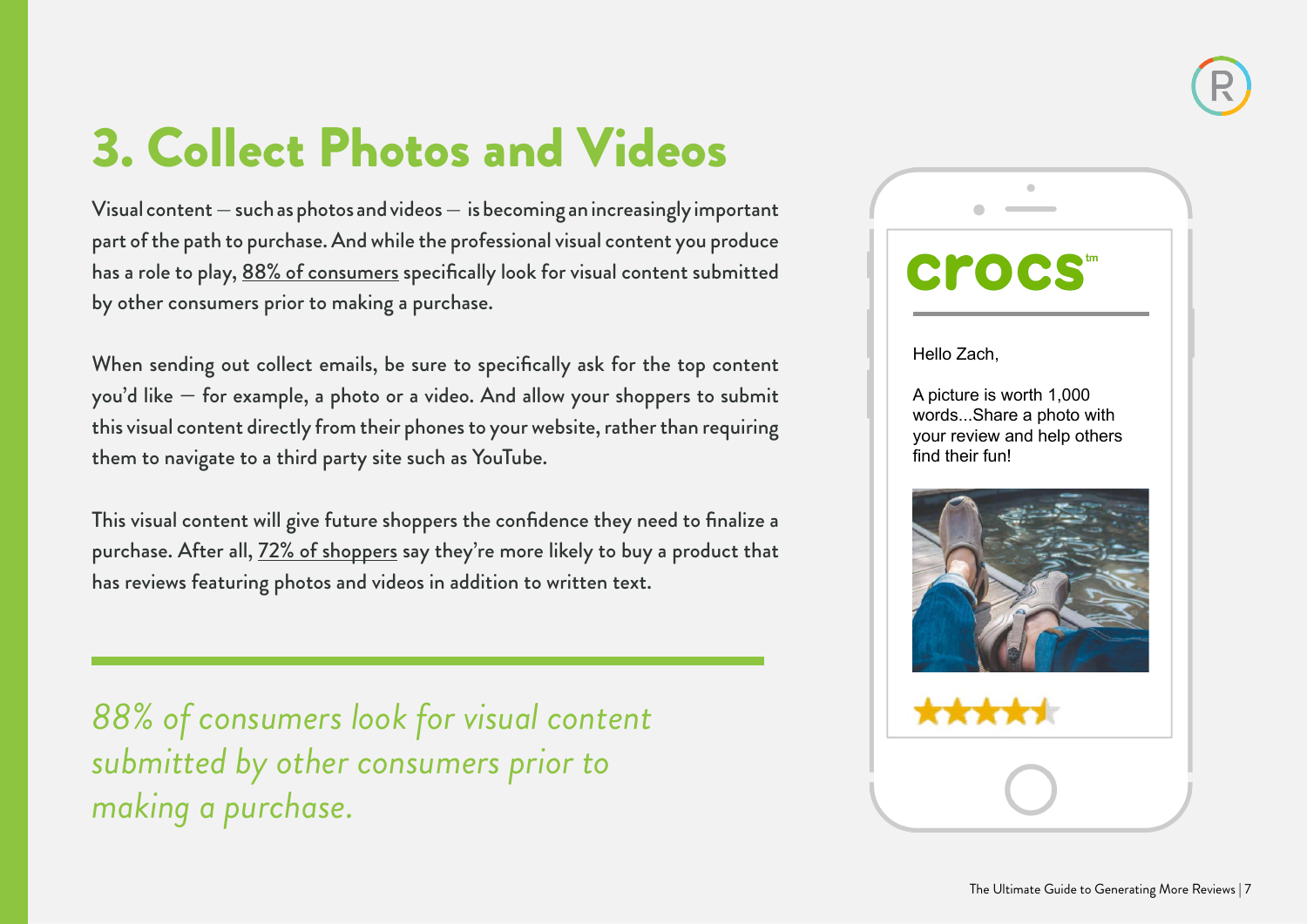### 3. Collect Photos and Videos

Visual content — such as photos and videos — is becoming an increasingly important part of the path to purchase. And while the professional visual content you produce has a role to play, [88% of consumers](http://www.powerreviews.com/event/report-snapshot-for-ecommerce/) specifically look for visual content submitted by other consumers prior to making a purchase.

When sending out collect emails, be sure to specifically ask for the top content you'd like — for example, a photo or a video. And allow your shoppers to submit this visual content directly from their phones to your website, rather than requiring them to navigate to a third party site such as YouTube.

This visual content will give future shoppers the confidence they need to finalize a purchase. After all,  $72\%$  of shoppers say they're more likely to buy a product that has reviews featuring photos and videos in addition to written text.

*88% of consumers look for visual content submitted by other consumers prior to making a purchase.*

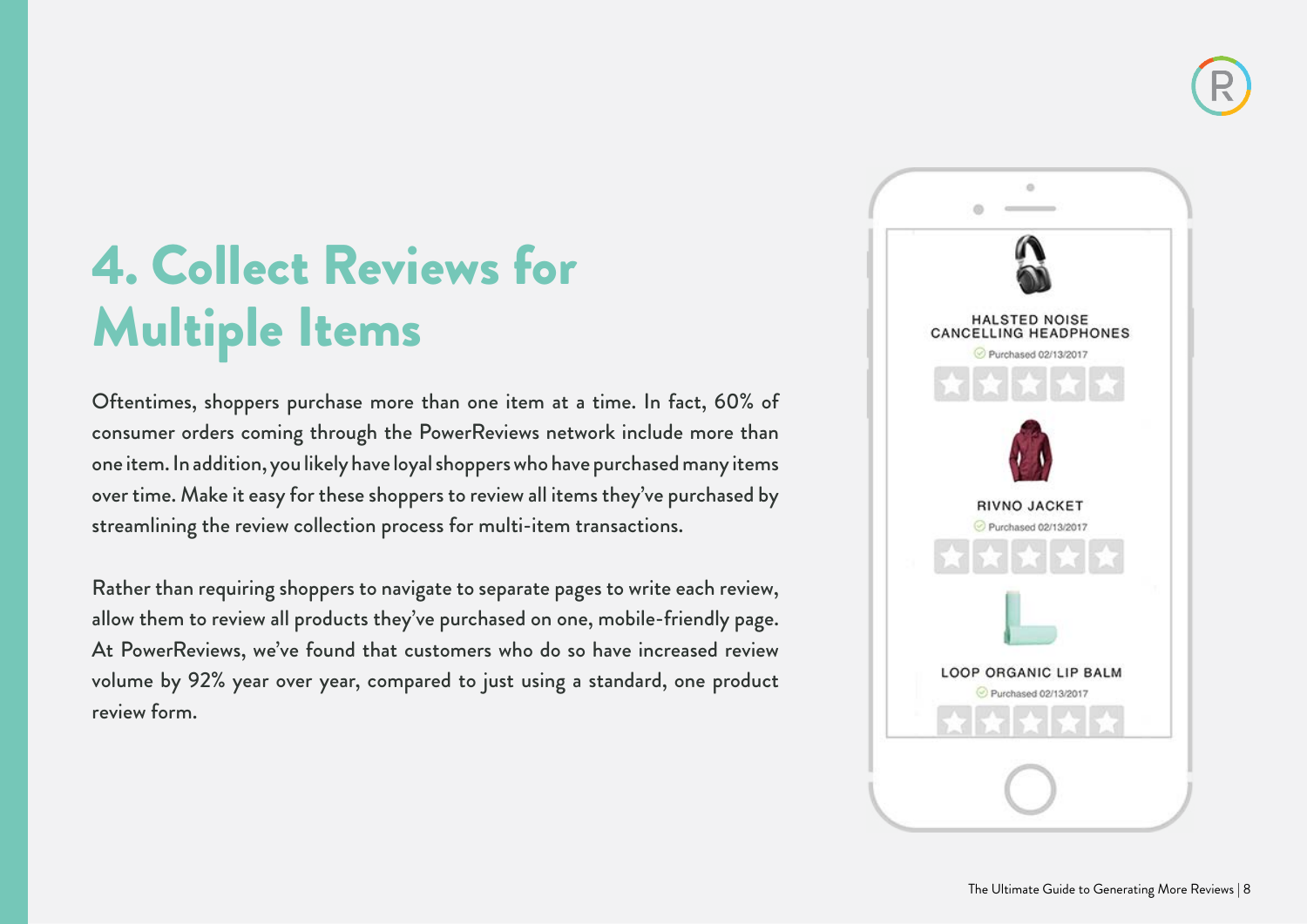### 4. Collect Reviews for Multiple Items

Oftentimes, shoppers purchase more than one item at a time. In fact, 60% of consumer orders coming through the PowerReviews network include more than one item. In addition, you likely have loyal shoppers who have purchased many items over time. Make it easy for these shoppers to review all items they've purchased by streamlining the review collection process for multi-item transactions.

Rather than requiring shoppers to navigate to separate pages to write each review, allow them to review all products they've purchased on one, mobile-friendly page. At PowerReviews, we've found that customers who do so have increased review volume by 92% year over year, compared to just using a standard, one product review form.

![](_page_7_Picture_4.jpeg)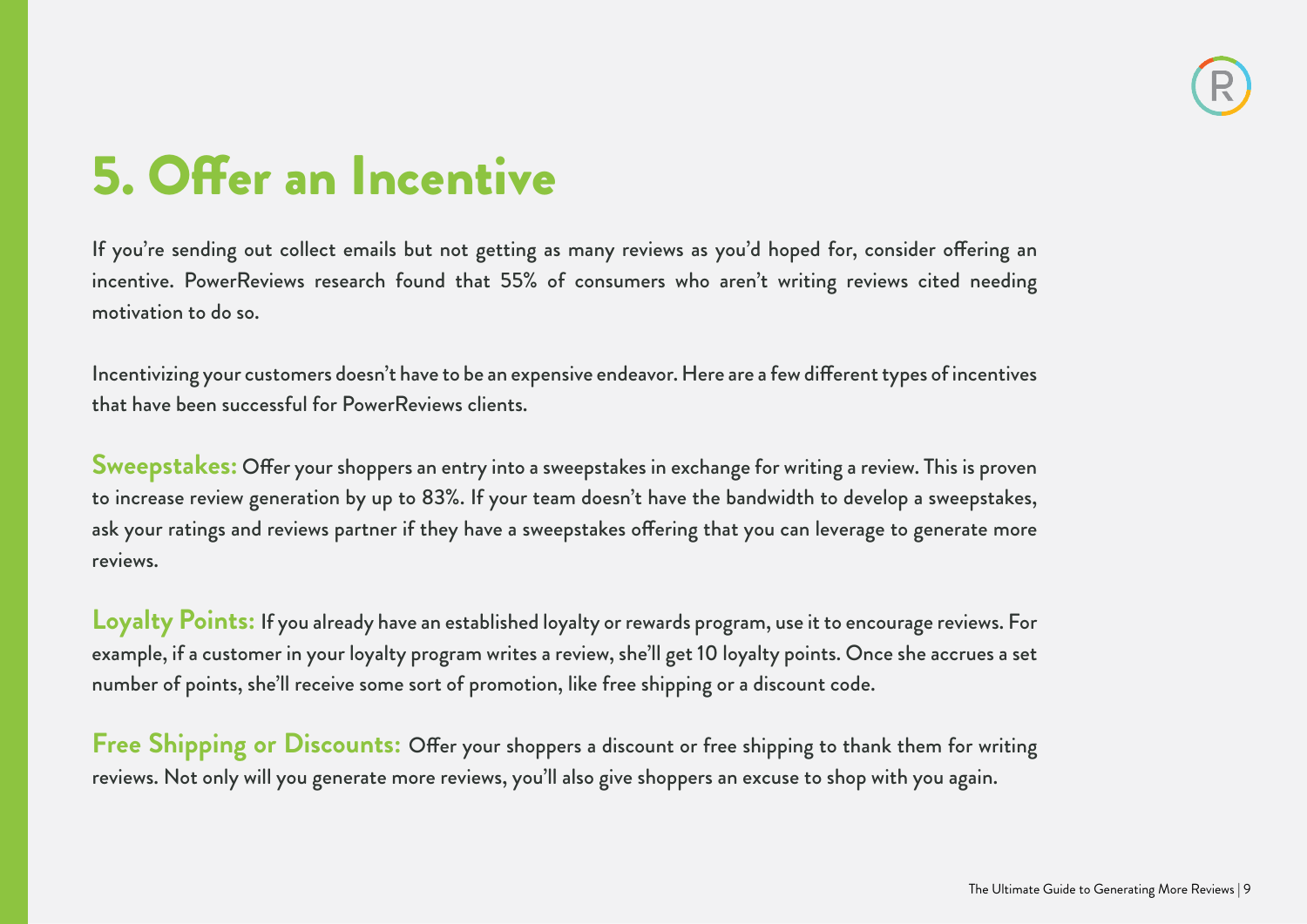### 5. Offer an Incentive

If you're sending out collect emails but not getting as many reviews as you'd hoped for, consider offering an incentive. PowerReviews research found that 55% of consumers who aren't writing reviews cited needing motivation to do so.

Incentivizing your customers doesn't have to be an expensive endeavor. Here are a few different types of incentives that have been successful for PowerReviews clients.

**Sweepstakes:** Offer your shoppers an entry into a sweepstakes in exchange for writing a review. This is proven to increase review generation by up to 83%. If your team doesn't have the bandwidth to develop a sweepstakes, ask your ratings and reviews partner if they have a sweepstakes offering that you can leverage to generate more reviews.

**Loyalty Points:** If you already have an established loyalty or rewards program, use it to encourage reviews. For example, if a customer in your loyalty program writes a review, she'll get 10 loyalty points. Once she accrues a set number of points, she'll receive some sort of promotion, like free shipping or a discount code.

**Free Shipping or Discounts:** Offer your shoppers a discount or free shipping to thank them for writing reviews. Not only will you generate more reviews, you'll also give shoppers an excuse to shop with you again.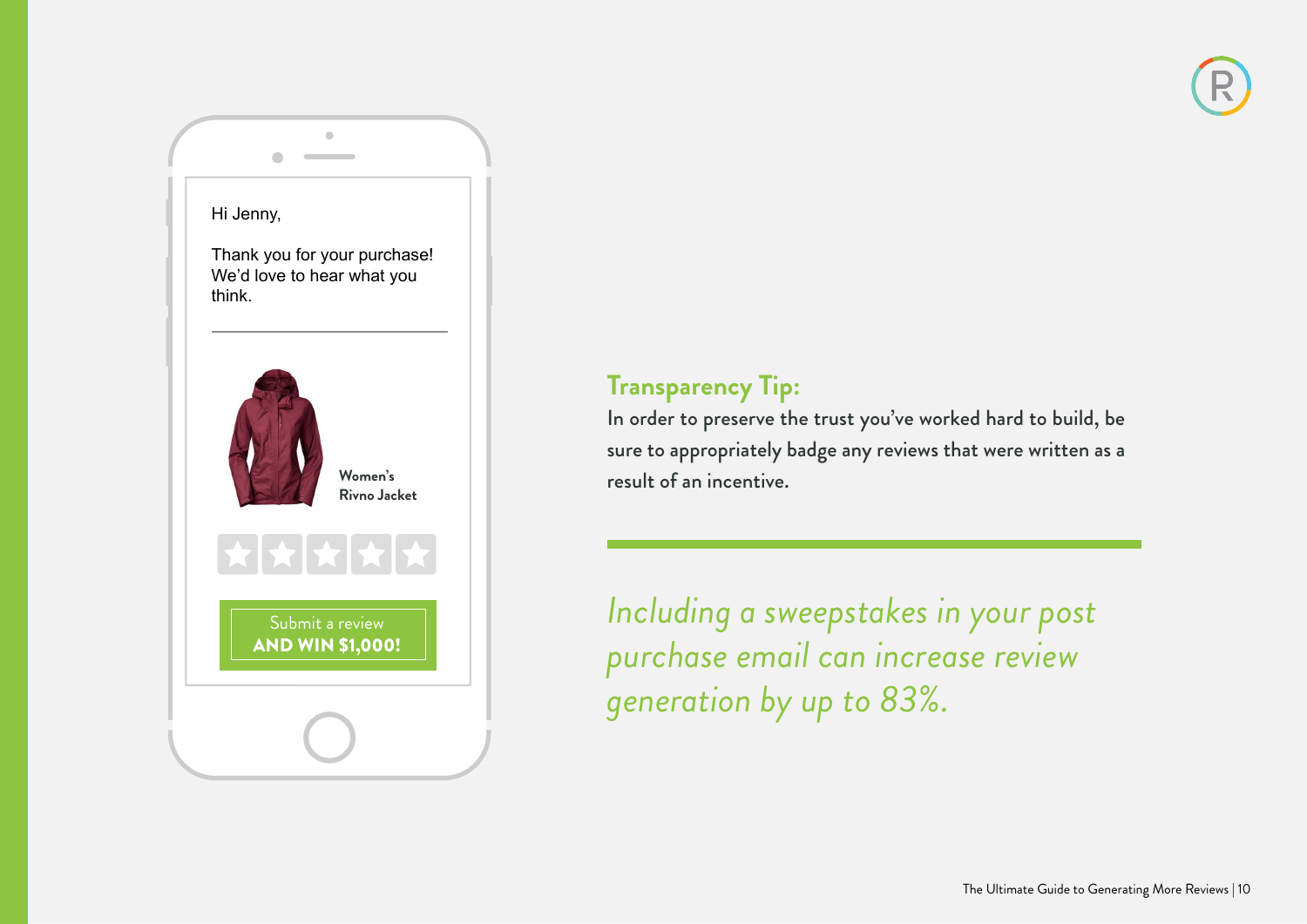#### Hi Jenny,

 $\begin{array}{c} \hline \end{array}$ 

Thank you for your purchase! We'd love to hear what you think.

 $\blacksquare$ 

 $\sim$ 

![](_page_9_Picture_3.jpeg)

#### **Transparency Tip:**

In order to preserve the trust you've worked hard to build, be sure to appropriately badge any reviews that were written as a result of an incentive.

*Including a sweepstakes in your post purchase email can increase review generation by up to 83%.*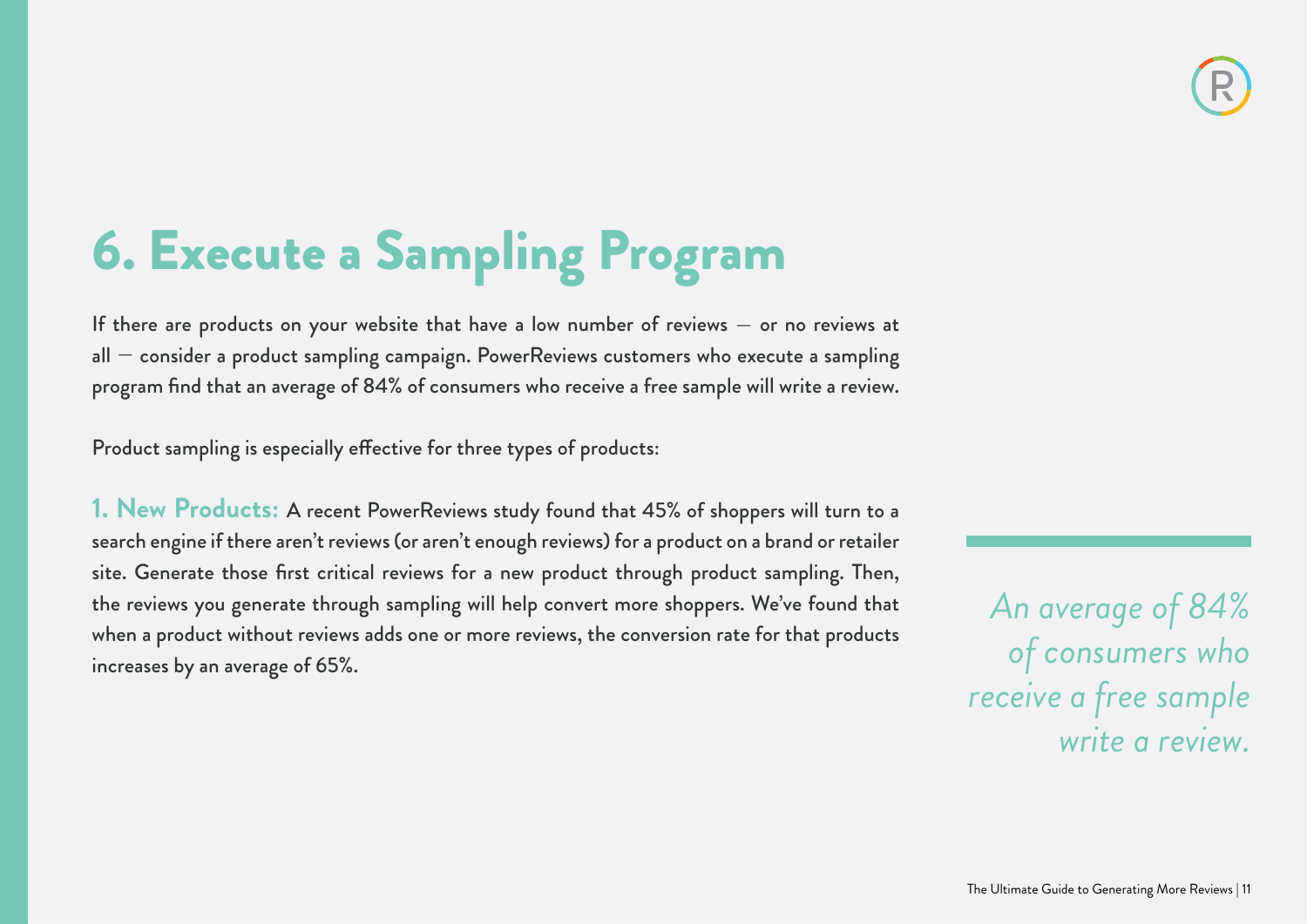## 6. Execute a Sampling Program

If there are products on your website that have a low number of reviews – or no reviews at  $all -$  consider a product sampling campaign. PowerReviews customers who execute a sampling program find that an average of 84% of consumers who receive a free sample will write a review.

Product sampling is especially effective for three types of products:

**1. New Products:** A recent PowerReviews study found that 45% of shoppers will turn to a search engine if there aren't reviews (or aren't enough reviews) for a product on a brand or retailer site. Generate those first critical reviews for a new product through product sampling. Then, the reviews you generate through sampling will help convert more shoppers. We've found that when a product without reviews adds one or more reviews, the conversion rate for that products increases by an average of 65%.

*An average of 84% of consumers who receive a free sample write a review.*

![](_page_10_Picture_6.jpeg)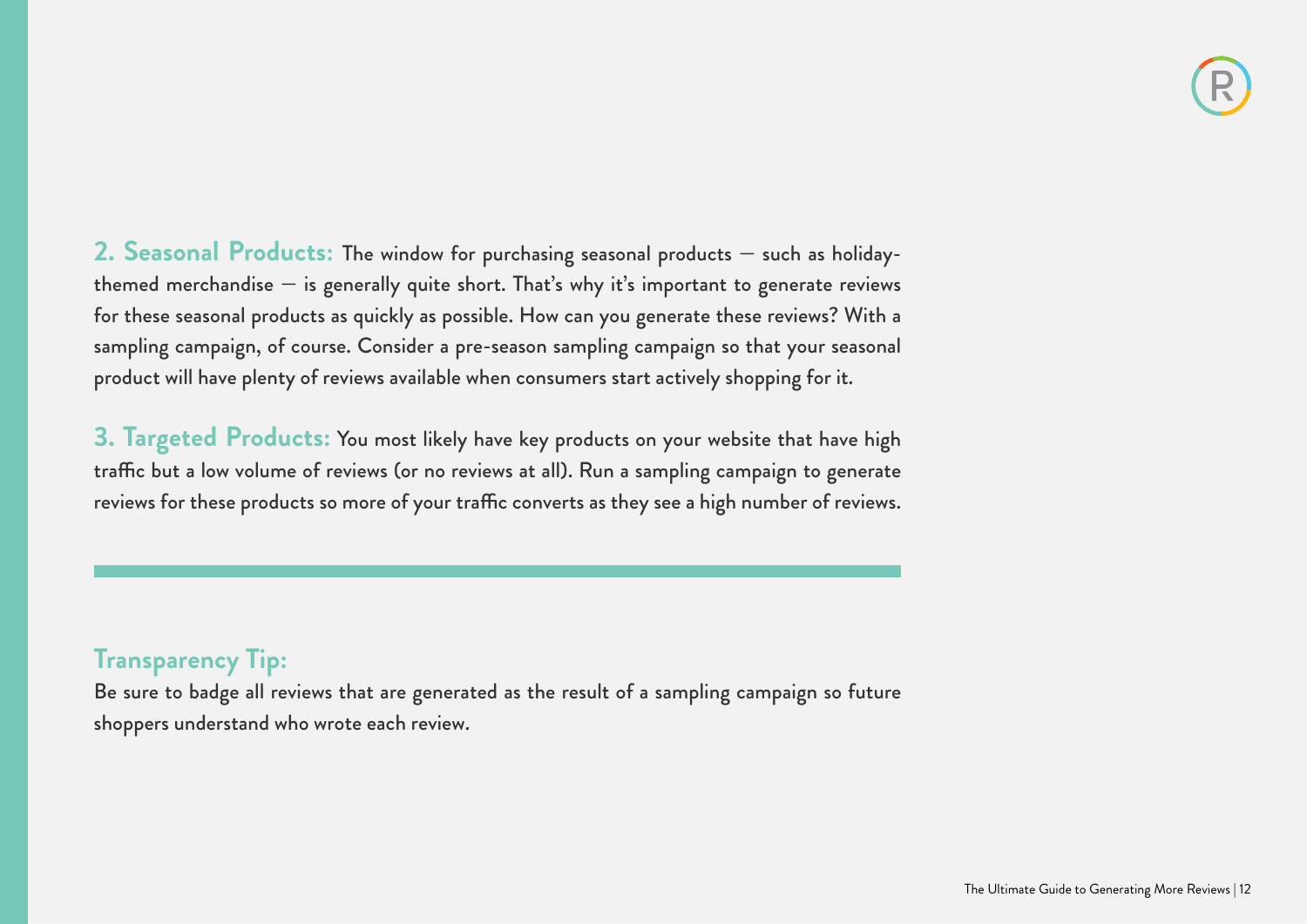**2. Seasonal Products:** The window for purchasing seasonal products — such as holidaythemed merchandise  $-$  is generally quite short. That's why it's important to generate reviews for these seasonal products as quickly as possible. How can you generate these reviews? With a sampling campaign, of course. Consider a pre-season sampling campaign so that your seasonal product will have plenty of reviews available when consumers start actively shopping for it.

**3. Targeted Products:** You most likely have key products on your website that have high traffic but a low volume of reviews (or no reviews at all). Run a sampling campaign to generate reviews for these products so more of your traffic converts as they see a high number of reviews.

#### **Transparency Tip:**

Be sure to badge all reviews that are generated as the result of a sampling campaign so future shoppers understand who wrote each review.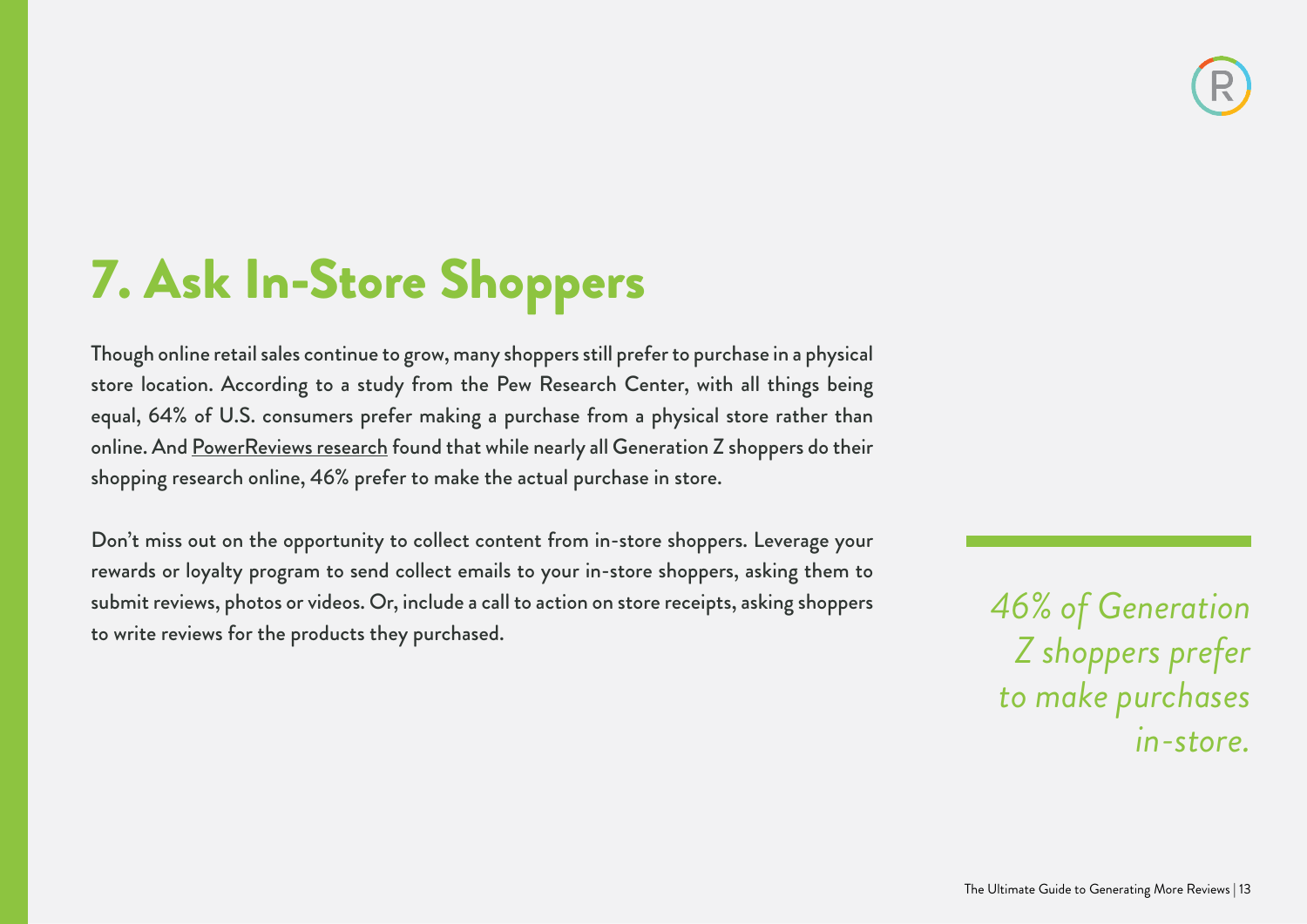## 7. Ask In-Store Shoppers

Though online retail sales continue to grow, many shoppers still prefer to purchase in a physical store location. According to a study from the Pew Research Center, with all things being equal, 64% of U.S. consumers prefer making a purchase from a physical store rather than online. And [PowerReviews research](http://www.powerreviews.com/event/centennial-shopper-study/) found that while nearly all Generation Z shoppers do their shopping research online, 46% prefer to make the actual purchase in store.

Don't miss out on the opportunity to collect content from in-store shoppers. Leverage your rewards or loyalty program to send collect emails to your in-store shoppers, asking them to submit reviews, photos or videos. Or, include a call to action on store receipts, asking shoppers to write reviews for the products they purchased.

*46% of Generation Z shoppers prefer to make purchases in-store.*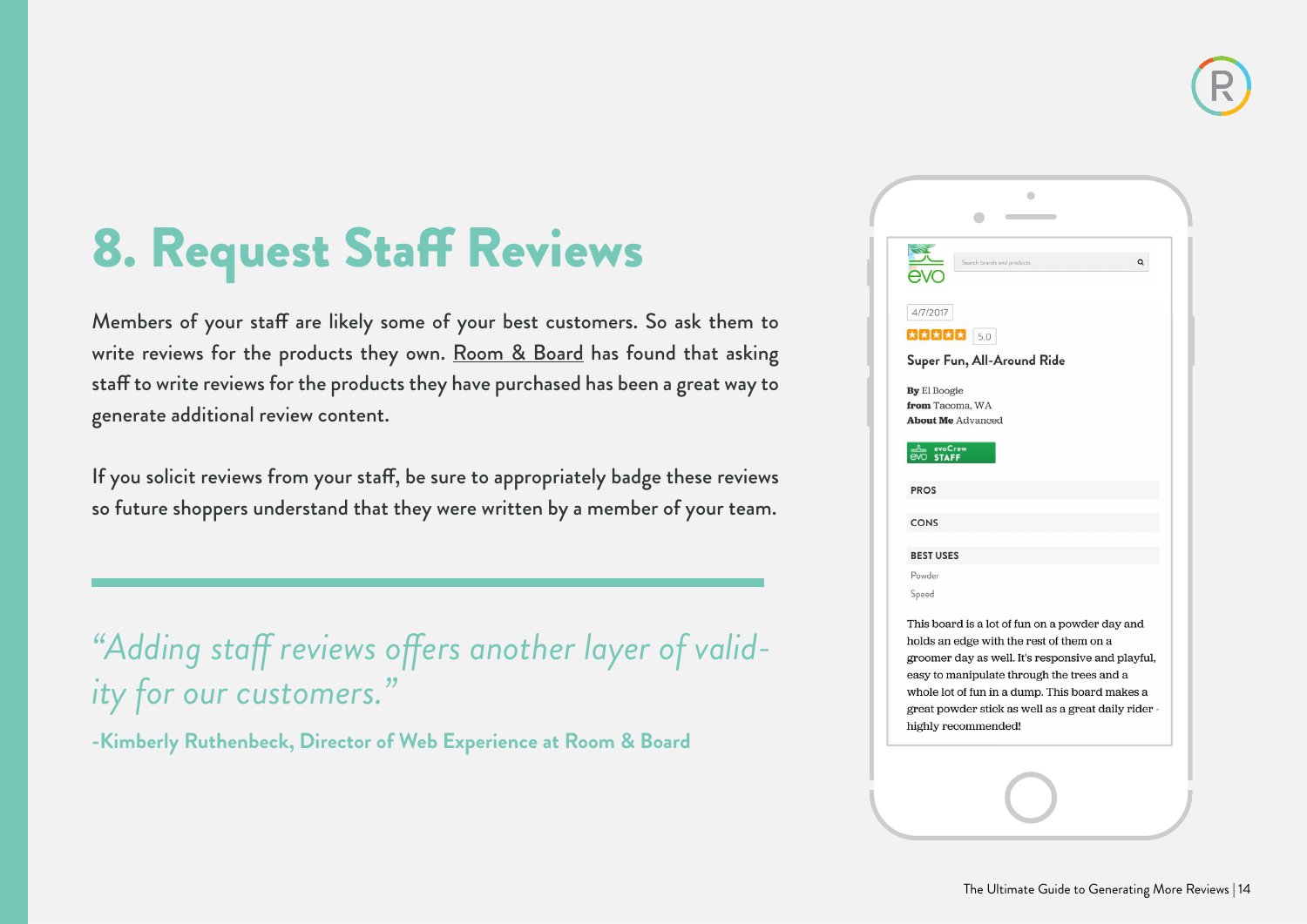## 8. Request Staff Reviews

Members of your staff are likely some of your best customers. So ask them to write reviews for the products they own. [Room & Board](http://www.powerreviews.com/case-studies/room-board/) has found that asking staff to write reviews for the products they have purchased has been a great way to generate additional review content.

If you solicit reviews from your staff, be sure to appropriately badge these reviews so future shoppers understand that they were written by a member of your team.

*"Adding staff reviews offers another layer of validity for our customers."*

**-Kimberly Ruthenbeck, Director of Web Experience at Room & Board**

|                  | Q<br>Search brands and products                     |
|------------------|-----------------------------------------------------|
|                  |                                                     |
| 4/7/2017         |                                                     |
|                  | $3222$                                              |
|                  | Super Fun, All-Around Ride                          |
| By El Boogie     |                                                     |
|                  | from Tacoma, WA<br><b>About Me Advanced</b>         |
| $\overline{evo}$ | evoCrew<br>STAFF                                    |
|                  |                                                     |
| <b>PROS</b>      |                                                     |
| <b>CONS</b>      |                                                     |
| <b>BEST USES</b> |                                                     |
| Powder           |                                                     |
| Speed            |                                                     |
|                  | This board is a lot of fun on a powder day and      |
|                  | holds an edge with the rest of them on a            |
|                  | groomer day as well. It's responsive and playful,   |
|                  | easy to manipulate through the trees and a          |
|                  | whole lot of fun in a dump. This board makes a      |
|                  | great powder stick as well as a great daily rider - |
|                  | highly recommended!                                 |